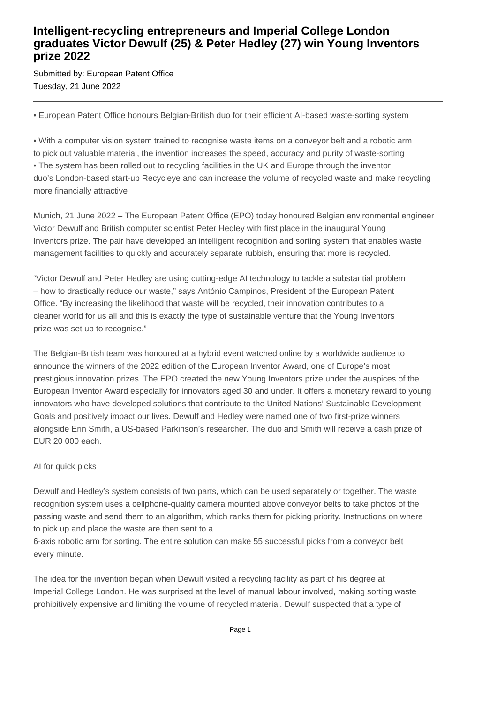## **Intelligent-recycling entrepreneurs and Imperial College London graduates Victor Dewulf (25) & Peter Hedley (27) win Young Inventors prize 2022**

Submitted by: European Patent Office Tuesday, 21 June 2022

• European Patent Office honours Belgian-British duo for their efficient AI-based waste-sorting system

• With a computer vision system trained to recognise waste items on a conveyor belt and a robotic arm to pick out valuable material, the invention increases the speed, accuracy and purity of waste-sorting • The system has been rolled out to recycling facilities in the UK and Europe through the inventor duo's London-based start-up Recycleye and can increase the volume of recycled waste and make recycling more financially attractive

Munich, 21 June 2022 – The European Patent Office (EPO) today honoured Belgian environmental engineer Victor Dewulf and British computer scientist Peter Hedley with first place in the inaugural Young Inventors prize. The pair have developed an intelligent recognition and sorting system that enables waste management facilities to quickly and accurately separate rubbish, ensuring that more is recycled.

"Victor Dewulf and Peter Hedley are using cutting-edge AI technology to tackle a substantial problem – how to drastically reduce our waste," says António Campinos, President of the European Patent Office. "By increasing the likelihood that waste will be recycled, their innovation contributes to a cleaner world for us all and this is exactly the type of sustainable venture that the Young Inventors prize was set up to recognise."

The Belgian-British team was honoured at a hybrid event watched online by a worldwide audience to announce the winners of the 2022 edition of the European Inventor Award, one of Europe's most prestigious innovation prizes. The EPO created the new Young Inventors prize under the auspices of the European Inventor Award especially for innovators aged 30 and under. It offers a monetary reward to young innovators who have developed solutions that contribute to the United Nations' Sustainable Development Goals and positively impact our lives. Dewulf and Hedley were named one of two first-prize winners alongside Erin Smith, a US-based Parkinson's researcher. The duo and Smith will receive a cash prize of EUR 20 000 each.

### AI for quick picks

Dewulf and Hedley's system consists of two parts, which can be used separately or together. The waste recognition system uses a cellphone-quality camera mounted above conveyor belts to take photos of the passing waste and send them to an algorithm, which ranks them for picking priority. Instructions on where to pick up and place the waste are then sent to a

6-axis robotic arm for sorting. The entire solution can make 55 successful picks from a conveyor belt every minute.

The idea for the invention began when Dewulf visited a recycling facility as part of his degree at Imperial College London. He was surprised at the level of manual labour involved, making sorting waste prohibitively expensive and limiting the volume of recycled material. Dewulf suspected that a type of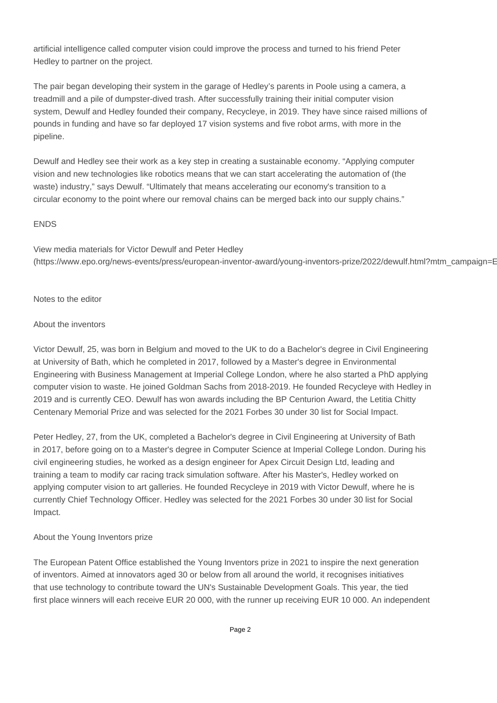artificial intelligence called computer vision could improve the process and turned to his friend Peter Hedley to partner on the project.

The pair began developing their system in the garage of Hedley's parents in Poole using a camera, a treadmill and a pile of dumpster-dived trash. After successfully training their initial computer vision system, Dewulf and Hedley founded their company, Recycleye, in 2019. They have since raised millions of pounds in funding and have so far deployed 17 vision systems and five robot arms, with more in the pipeline.

Dewulf and Hedley see their work as a key step in creating a sustainable economy. "Applying computer vision and new technologies like robotics means that we can start accelerating the automation of (the waste) industry," says Dewulf. "Ultimately that means accelerating our economy's transition to a circular economy to the point where our removal chains can be merged back into our supply chains."

#### ENDS

View media materials for Victor Dewulf and Peter Hedley (https://www.epo.org/news-events/press/european-inventor-award/young-inventors-prize/2022/dewulf.html?mtm\_campaign=E

#### Notes to the editor

#### About the inventors

Victor Dewulf, 25, was born in Belgium and moved to the UK to do a Bachelor's degree in Civil Engineering at University of Bath, which he completed in 2017, followed by a Master's degree in Environmental Engineering with Business Management at Imperial College London, where he also started a PhD applying computer vision to waste. He joined Goldman Sachs from 2018-2019. He founded Recycleye with Hedley in 2019 and is currently CEO. Dewulf has won awards including the BP Centurion Award, the Letitia Chitty Centenary Memorial Prize and was selected for the 2021 Forbes 30 under 30 list for Social Impact.

Peter Hedley, 27, from the UK, completed a Bachelor's degree in Civil Engineering at University of Bath in 2017, before going on to a Master's degree in Computer Science at Imperial College London. During his civil engineering studies, he worked as a design engineer for Apex Circuit Design Ltd, leading and training a team to modify car racing track simulation software. After his Master's, Hedley worked on applying computer vision to art galleries. He founded Recycleye in 2019 with Victor Dewulf, where he is currently Chief Technology Officer. Hedley was selected for the 2021 Forbes 30 under 30 list for Social Impact.

### About the Young Inventors prize

The European Patent Office established the Young Inventors prize in 2021 to inspire the next generation of inventors. Aimed at innovators aged 30 or below from all around the world, it recognises initiatives that use technology to contribute toward the UN's Sustainable Development Goals. This year, the tied first place winners will each receive EUR 20 000, with the runner up receiving EUR 10 000. An independent